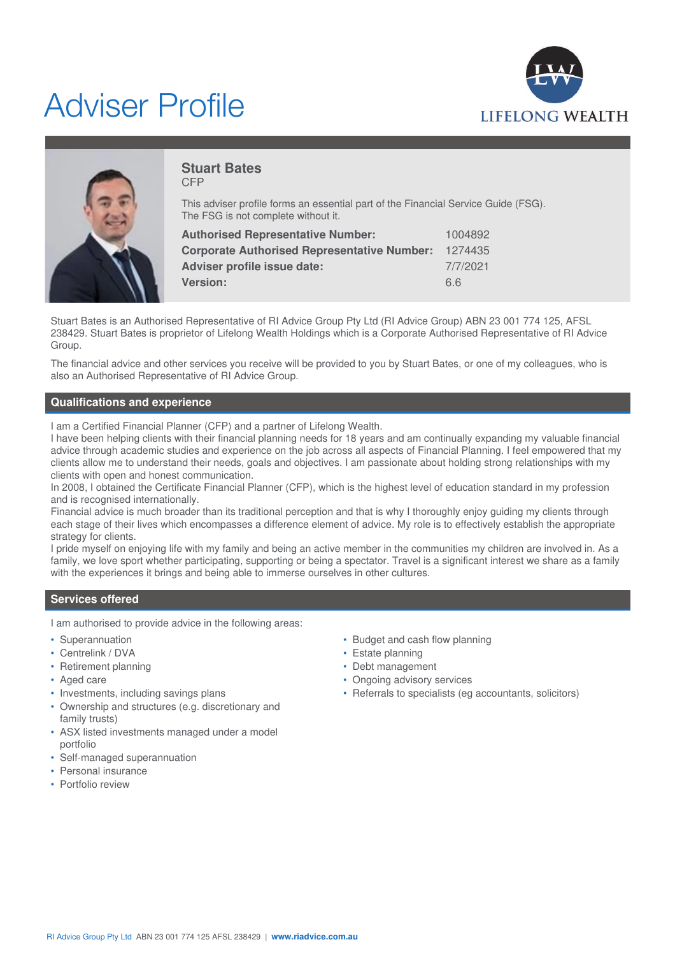# Adviser Profile





#### **Stuart Bates** CFP

This adviser profile forms an essential part of the Financial Service Guide (FSG). The FSG is not complete without it.

| 1004892  |
|----------|
| 1274435  |
| 7/7/2021 |
| 6.6      |
|          |

Stuart Bates is an Authorised Representative of RI Advice Group Pty Ltd (RI Advice Group) ABN 23 001 774 125, AFSL 238429. Stuart Bates is proprietor of Lifelong Wealth Holdings which is a Corporate Authorised Representative of RI Advice Group.

The financial advice and other services you receive will be provided to you by Stuart Bates, or one of my colleagues, who is also an Authorised Representative of RI Advice Group.

# **Qualifications and experience**

I am a Certified Financial Planner (CFP) and a partner of Lifelong Wealth.

I have been helping clients with their financial planning needs for 18 years and am continually expanding my valuable financial advice through academic studies and experience on the job across all aspects of Financial Planning. I feel empowered that my clients allow me to understand their needs, goals and objectives. I am passionate about holding strong relationships with my clients with open and honest communication.

In 2008, I obtained the Certificate Financial Planner (CFP), which is the highest level of education standard in my profession and is recognised internationally.

Financial advice is much broader than its traditional perception and that is why I thoroughly enjoy guiding my clients through each stage of their lives which encompasses a difference element of advice. My role is to effectively establish the appropriate strategy for clients.

I pride myself on enjoying life with my family and being an active member in the communities my children are involved in. As a family, we love sport whether participating, supporting or being a spectator. Travel is a significant interest we share as a family with the experiences it brings and being able to immerse ourselves in other cultures.

# **Services offered**

I am authorised to provide advice in the following areas:

- Superannuation
- Centrelink / DVA
- Retirement planning
- Aged care
- Investments, including savings plans
- Ownership and structures (e.g. discretionary and family trusts)
- ASX listed investments managed under a model portfolio
- Self-managed superannuation
- Personal insurance
- Portfolio review
- Budget and cash flow planning
- Estate planning
- Debt management
- Ongoing advisory services
- Referrals to specialists (eg accountants, solicitors)